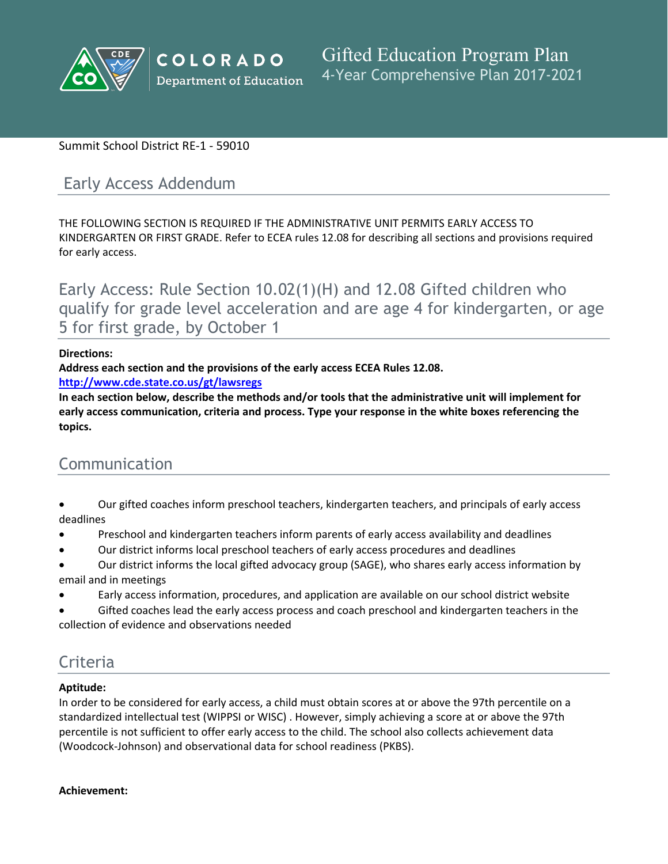

# Summit School District RE-1 - 59010

# Early Access Addendum

THE FOLLOWING SECTION IS REQUIRED IF THE ADMINISTRATIVE UNIT PERMITS EARLY ACCESS TO KINDERGARTEN OR FIRST GRADE. Refer to ECEA rules 12.08 for describing all sections and provisions required for early access.

Early Access: Rule Section 10.02(1)(H) and 12.08 Gifted children who qualify for grade level acceleration and are age 4 for kindergarten, or age 5 for first grade, by October 1

## **Directions:**

**Address each section and the provisions of the early access ECEA Rules 12.08.**

**<http://www.cde.state.co.us/gt/lawsregs>**

**In each section below, describe the methods and/or tools that the administrative unit will implement for early access communication, criteria and process. Type your response in the white boxes referencing the topics.**

# Communication

- Our gifted coaches inform preschool teachers, kindergarten teachers, and principals of early access deadlines
- Preschool and kindergarten teachers inform parents of early access availability and deadlines
- Our district informs local preschool teachers of early access procedures and deadlines
- Our district informs the local gifted advocacy group (SAGE), who shares early access information by email and in meetings
- Early access information, procedures, and application are available on our school district website

 Gifted coaches lead the early access process and coach preschool and kindergarten teachers in the collection of evidence and observations needed

# Criteria

#### **Aptitude:**

In order to be considered for early access, a child must obtain scores at or above the 97th percentile on a standardized intellectual test (WIPPSI or WISC) . However, simply achieving a score at or above the 97th percentile is not sufficient to offer early access to the child. The school also collects achievement data (Woodcock-Johnson) and observational data for school readiness (PKBS).

#### **Achievement:**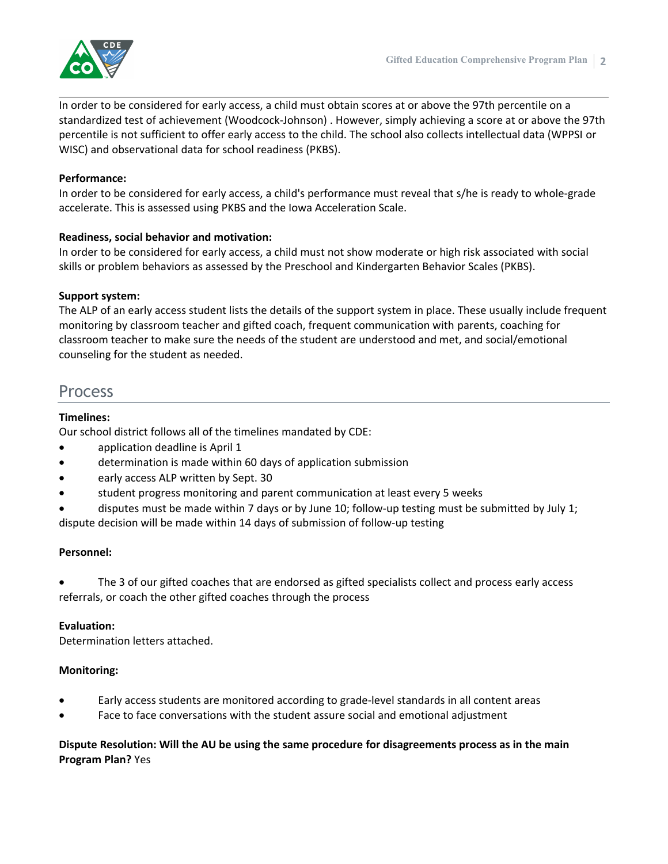

In order to be considered for early access, a child must obtain scores at or above the 97th percentile on a standardized test of achievement (Woodcock-Johnson) . However, simply achieving a score at or above the 97th percentile is not sufficient to offer early access to the child. The school also collects intellectual data (WPPSI or WISC) and observational data for school readiness (PKBS).

## **Performance:**

In order to be considered for early access, a child's performance must reveal that s/he is ready to whole-grade accelerate. This is assessed using PKBS and the Iowa Acceleration Scale.

## **Readiness, social behavior and motivation:**

In order to be considered for early access, a child must not show moderate or high risk associated with social skills or problem behaviors as assessed by the Preschool and Kindergarten Behavior Scales (PKBS).

## **Support system:**

The ALP of an early access student lists the details of the support system in place. These usually include frequent monitoring by classroom teacher and gifted coach, frequent communication with parents, coaching for classroom teacher to make sure the needs of the student are understood and met, and social/emotional counseling for the student as needed.

# Process

#### **Timelines:**

Our school district follows all of the timelines mandated by CDE:

- application deadline is April 1
- determination is made within 60 days of application submission
- early access ALP written by Sept. 30
- student progress monitoring and parent communication at least every 5 weeks
- disputes must be made within 7 days or by June 10; follow-up testing must be submitted by July 1;

dispute decision will be made within 14 days of submission of follow-up testing

#### **Personnel:**

 The 3 of our gifted coaches that are endorsed as gifted specialists collect and process early access referrals, or coach the other gifted coaches through the process

#### **Evaluation:**

Determination letters attached.

#### **Monitoring:**

- Early access students are monitored according to grade-level standards in all content areas
- Face to face conversations with the student assure social and emotional adjustment

# **Dispute Resolution: Will the AU be using the same procedure for disagreements process as in the main Program Plan?** Yes